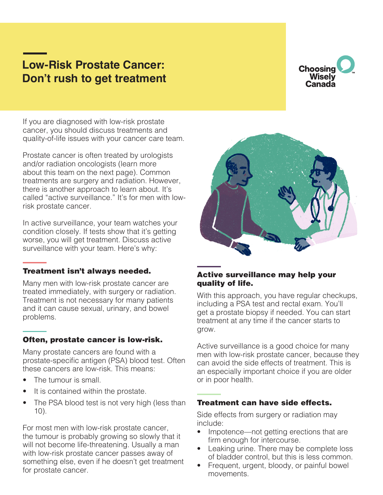# **Low-Risk Prostate Cancer: Don't rush to get treatment**



If you are diagnosed with low-risk prostate cancer, you should discuss treatments and quality-of-life issues with your cancer care team.

Prostate cancer is often treated by urologists and/or radiation oncologists (learn more about this team on the next page). Common treatments are surgery and radiation. However, there is another approach to learn about. It's called "active surveillance." It's for men with lowrisk prostate cancer.

In active surveillance, your team watches your condition closely. If tests show that it's getting worse, you will get treatment. Discuss active surveillance with your team. Here's why:

### Treatment isn't always needed.

Many men with low-risk prostate cancer are treated immediately, with surgery or radiation. Treatment is not necessary for many patients and it can cause sexual, urinary, and bowel problems.

### Often, prostate cancer is low-risk.

Many prostate cancers are found with a prostate-specific antigen (PSA) blood test. Often these cancers are low-risk. This means:

- The tumour is small.
- It is contained within the prostate.
- The PSA blood test is not very high (less than 10).

For most men with low-risk prostate cancer, the tumour is probably growing so slowly that it will not become life-threatening. Usually a man with low-risk prostate cancer passes away of something else, even if he doesn't get treatment for prostate cancer.



## Active surveillance may help your quality of life.

With this approach, you have regular checkups, including a PSA test and rectal exam. You'll get a prostate biopsy if needed. You can start treatment at any time if the cancer starts to grow.

Active surveillance is a good choice for many men with low-risk prostate cancer, because they can avoid the side effects of treatment. This is an especially important choice if you are older or in poor health.

### Treatment can have side effects.

Side effects from surgery or radiation may include:

- Impotence—not getting erections that are firm enough for intercourse.
- Leaking urine. There may be complete loss of bladder control, but this is less common.
- Frequent, urgent, bloody, or painful bowel movements.